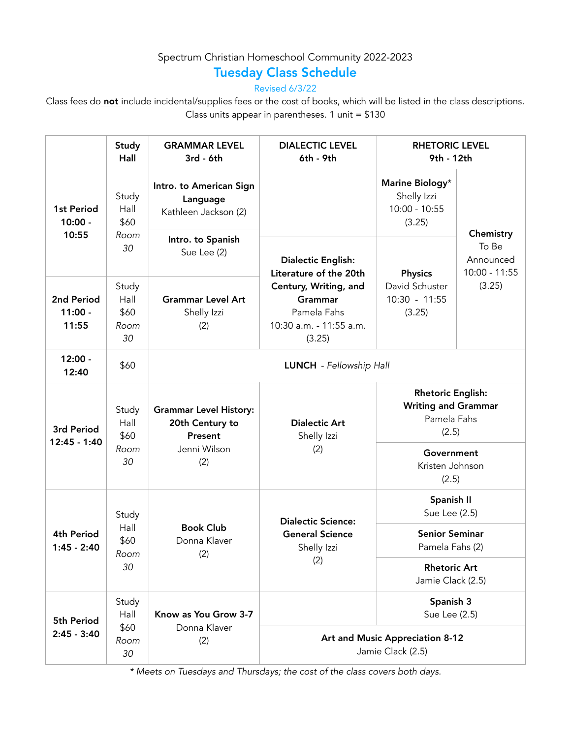## Spectrum Christian Homeschool Community 2022-2023

## Tuesday Class Schedule

Revised 6/3/22

Class fees do not include incidental/supplies fees or the cost of books, which will be listed in the class descriptions. Class units appear in parentheses.  $1$  unit = \$130

|                                  | Study<br>Hall                       | <b>GRAMMAR LEVEL</b><br>3rd - 6th                                                  | <b>DIALECTIC LEVEL</b><br>6th - 9th                                                                                                         | <b>RHETORIC LEVEL</b><br>9th - 12th                                            |                                       |  |
|----------------------------------|-------------------------------------|------------------------------------------------------------------------------------|---------------------------------------------------------------------------------------------------------------------------------------------|--------------------------------------------------------------------------------|---------------------------------------|--|
| 1st Period<br>$10:00 -$<br>10:55 | Study<br>Hall<br>\$60<br>Room<br>30 | Intro. to American Sign<br>Language<br>Kathleen Jackson (2)                        | <b>Dialectic English:</b><br>Literature of the 20th<br>Century, Writing, and<br>Grammar<br>Pamela Fahs<br>10:30 a.m. - 11:55 a.m.<br>(3.25) | Marine Biology*<br>Shelly Izzi<br>$10:00 - 10:55$<br>(3.25)                    | Chemistry                             |  |
|                                  |                                     | Intro. to Spanish<br>Sue Lee (2)                                                   |                                                                                                                                             | <b>Physics</b><br>David Schuster<br>$10:30 - 11:55$<br>(3.25)                  | To Be<br>Announced<br>$10:00 - 11:55$ |  |
| 2nd Period<br>$11:00 -$<br>11:55 | Study<br>Hall<br>\$60<br>Room<br>30 | <b>Grammar Level Art</b><br>Shelly Izzi<br>(2)                                     |                                                                                                                                             |                                                                                | (3.25)                                |  |
| $12:00 -$<br>12:40               | \$60                                | <b>LUNCH</b> - Fellowship Hall                                                     |                                                                                                                                             |                                                                                |                                       |  |
| 3rd Period<br>12:45 - 1:40       | Study<br>Hall<br>\$60<br>Room<br>30 | <b>Grammar Level History:</b><br>20th Century to<br>Present<br>Jenni Wilson<br>(2) | <b>Dialectic Art</b><br>Shelly Izzi<br>(2)                                                                                                  | <b>Rhetoric English:</b><br><b>Writing and Grammar</b><br>Pamela Fahs<br>(2.5) |                                       |  |
|                                  |                                     |                                                                                    |                                                                                                                                             | Government<br>Kristen Johnson<br>(2.5)                                         |                                       |  |
| 4th Period<br>$1:45 - 2:40$      | Study<br>Hall<br>\$60<br>Room<br>30 | <b>Book Club</b><br>Donna Klaver<br>(2)                                            | <b>Dialectic Science:</b><br><b>General Science</b><br>Shelly Izzi<br>(2)                                                                   | Spanish II<br>Sue Lee (2.5)                                                    |                                       |  |
|                                  |                                     |                                                                                    |                                                                                                                                             | <b>Senior Seminar</b><br>Pamela Fahs (2)                                       |                                       |  |
|                                  |                                     |                                                                                    |                                                                                                                                             | <b>Rhetoric Art</b><br>Jamie Clack (2.5)                                       |                                       |  |
| 5th Period<br>$2:45 - 3:40$      | Study<br>Hall<br>\$60<br>Room<br>30 | Know as You Grow 3-7<br>Donna Klaver<br>(2)                                        |                                                                                                                                             | Spanish 3<br>Sue Lee (2.5)                                                     |                                       |  |
|                                  |                                     |                                                                                    | Art and Music Appreciation 8-12<br>Jamie Clack (2.5)                                                                                        |                                                                                |                                       |  |

*\* Meets on Tuesdays and Thursdays; the cost of the class covers both days.*